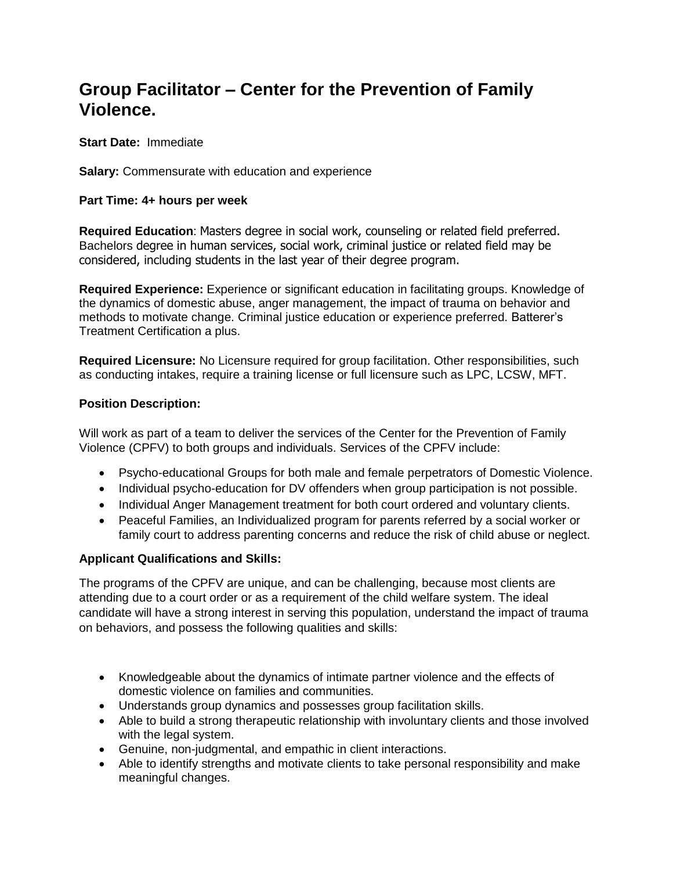# **Group Facilitator – Center for the Prevention of Family Violence.**

**Start Date:** Immediate

**Salary:** Commensurate with education and experience

## **Part Time: 4+ hours per week**

**Required Education**: Masters degree in social work, counseling or related field preferred. Bachelors degree in human services, social work, criminal justice or related field may be considered, including students in the last year of their degree program.

**Required Experience:** Experience or significant education in facilitating groups. Knowledge of the dynamics of domestic abuse, anger management, the impact of trauma on behavior and methods to motivate change. Criminal justice education or experience preferred. Batterer's Treatment Certification a plus.

**Required Licensure:** No Licensure required for group facilitation. Other responsibilities, such as conducting intakes, require a training license or full licensure such as LPC, LCSW, MFT.

## **Position Description:**

Will work as part of a team to deliver the services of the Center for the Prevention of Family Violence (CPFV) to both groups and individuals. Services of the CPFV include:

- Psycho-educational Groups for both male and female perpetrators of Domestic Violence.
- Individual psycho-education for DV offenders when group participation is not possible.
- Individual Anger Management treatment for both court ordered and voluntary clients.
- Peaceful Families, an Individualized program for parents referred by a social worker or family court to address parenting concerns and reduce the risk of child abuse or neglect.

### **Applicant Qualifications and Skills:**

The programs of the CPFV are unique, and can be challenging, because most clients are attending due to a court order or as a requirement of the child welfare system. The ideal candidate will have a strong interest in serving this population, understand the impact of trauma on behaviors, and possess the following qualities and skills:

- Knowledgeable about the dynamics of intimate partner violence and the effects of domestic violence on families and communities.
- Understands group dynamics and possesses group facilitation skills.
- Able to build a strong therapeutic relationship with involuntary clients and those involved with the legal system.
- Genuine, non-judgmental, and empathic in client interactions.
- Able to identify strengths and motivate clients to take personal responsibility and make meaningful changes.